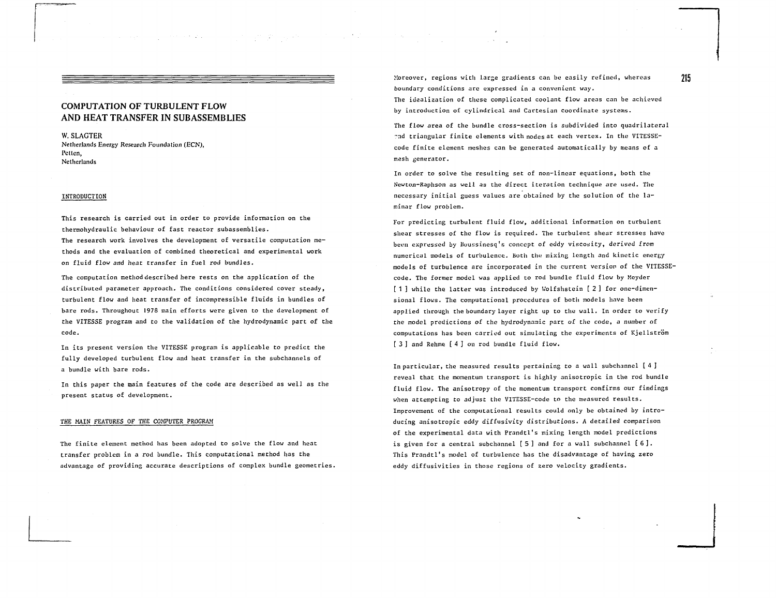$\label{eq:2.1} \mathcal{E}(\mathcal{F}(\mathcal{F}))=\mathcal{E}(\mathcal{F}(\mathcal{F}))=\mathcal{E}(\mathcal{F}(\mathcal{F}))$ 

# COMPUTATION OF TURBULENT FLOW AND HEAT TRANSFER IN SUB ASSEMBLIES

W. SLAGTER Netherlands Energy Research Foundation (ECN), Pctten, Netherlands

# INTRODUCTION

This research is carried out in order to provide information on the thermohydraulic behaviour of fast reactor subassemblies. The research work involves the development of versatile computation methods and the evaluation of combined theoretical and experimental work on fluid flow and heat transfer in fuel rod bundles.

The computation method described here rests on the application of the distributed parameter approach. The conditions considered cover steady, turbulent flow and heat transfer of incompressible fluids in bundles of bare rods. Throughout 1978 main efforts were given to the development of the VITESSE program and to the validation of the hydrodynamic part of the code.

In its present version the VITESSE program is applicable to predict the fully developed turbulent flow and heat transfer in the subchannels of a bundle with bare rods.

In this paper the main features of the code are described as well as the present status of development.

## THE MAIN FEATURES OF THE COMPUTER PROGRAM

The finite element method has been adopted to solve the flow and heat transfer problem in a rod bundle. This computational method has the advantage of providing accurate descriptions of complex bundle geometries. Moreover, regions with large gradients can be easily refined, whereas 215 boundary conditions are expressed in a convenient way. The idealization of these complicated coolant flow areas can be achieved by introduction of cylindrical and Cartesian coordinate systems.

The flow area of the bundle cross-section is subdivided into quadrilateral and triangular finite elements with nodes at each vertex. In the VITESSEcode finite element meshes can be generated automatically by means of a mesh generator.

In order to solve the resulting set of non-linear equations, both the Neuton-Raphson as well as the direct iteration technique are used. The necessary initial guess values are obtained by the solution of the laminar flow problem.

For predicting turbulent fluid flow, additional information on turbulent shear stresses of the flow is required. The turbulent shear stresses have been expressed by Boussinesq's concept of eddy viscosity, derived from numerical models of turbulence. Both the mixing length and kinetic energy models of turbulence are incorporated in the current version of the VITESSEcode. The former model was applied to rod bundle fluid flow by Meyder [ 1 ] while the latter was introduced by Wolfshstein [ 2 ] for one-dimensional flows. The computational procedures of both models have been applied through the boundary layer right up to the wall. In order to verify the model predictions of the hydrodynamic part of the code, a number of computations has been carried out simulating the experiments of Kjellström [ 3 ] and Rehme [ 4 ] on rod bundle fluid flow.

In particular, the measured results pertaining to a wall subchannel [4 ] reveal that the momentum transport is highly anisotropic in the rod bundle fluid flow. The anisotropy of the momentum transport confirms our findings when attempting to adjust the VITESSE-code to the measured results. Improvement of the computational results could only be obtained by introducing anisotropic eddy diffusivity distributions. A detailed comparison of the experimental data with Prandtl's mixing length model predictions is given for a central subchannel  $[5]$  and for a wall subchannel  $[6]$ . This Prandtl's model of turbulence has the disadvantage of having zero eddy diffusivities in those regions of zero velocity gradients.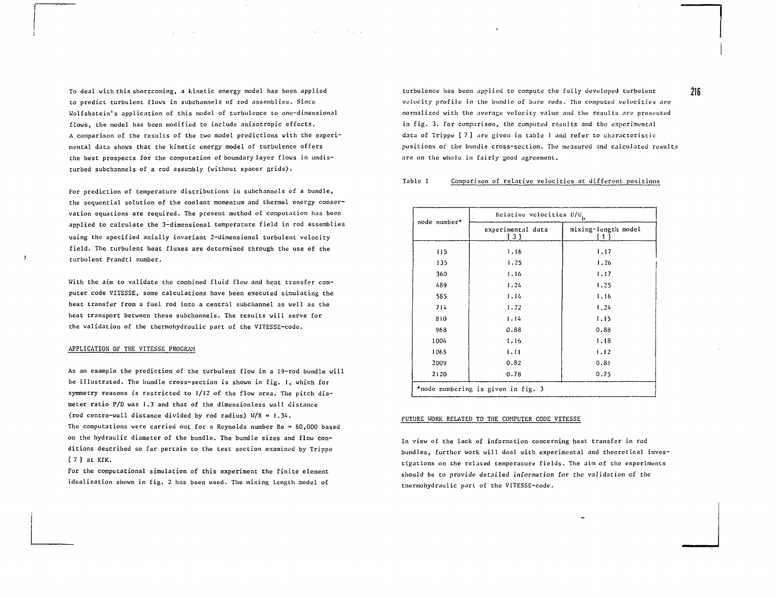To deal with this shortcoming, a kinetic energy model has been applied to predict turbulent flows in subchannels of rod assemblies. Since Wolfshstein's application of this model of turbulence to one-dimensional flows, the model has been modified to include anisotropic effects. A comparison of the results of the two model predictions with the experimental data shows that the kinetic energy model of turbulence offers the best prospects for the computation of boundary layer flows in undisturbed subchannels of a rod assembly (without spacer grids).

For prediction of temperature distributions in subchannels of a bundle, the sequential solution of the coolant momentum and thermal energy conservation equations are required. The present method of computation has been applied to calculate the 3-dimensional temperature field in rod assemblies using the specified axially invariant 2-dimensional turbulent velocity field. The turbulent heat fluxes are determined through the use of the turbulent Prandtl number.

With the aim to validate the combined fluid flow and heat transfer computer code VITESSE, some calculations have been executed simulating the heat transfer from a fuel rod into a central subchannel as well as the heat transport between these subchannels. The results will serve for the validation of the thermohydraulic part of the VITESSE-code.

#### APPLICATION OF THE VITESSE PROGRAM

As an example the prediction of the turbulent flow in a 19-rod bundle will be illustrated. The bundle cross-section is shown in fig. I, which for symmetry reasons is restricted to 1/12 of the flow area. The pitch diameter ratio P/D was 1.3 and that of the dimensionless wall distance (rod centre-wall distance divided by rod radius) W/R = 1.34. The computations were carried out for a Reynolds number Re =  $60,000$  based on the hydraulic diameter of the bundle. The bundle sizes and flow conditions described so far pertain to the test section examined by Trippe [ 7 ] at KfK.

For the computational simulation of this experiment the finite element idealization shown in fig. 2 has been used. The mixing length model of

turbulence has been applied to compute the fully developed turbulent velocity profile in the bundle of bare rods. The computed velocities are normalized with the average velocity value and the results are presented in fig. 3. For comparison, the computed results and the experimental data of Trippe [ 7 ] are given in table 1 and refer to characteristic positions of the bundle cross-section. The measured and calculated results are on the whole in fairly good agreement.

### Table I Comparison of relative velocities at different positions

| node number* | Relative velocities $U/U$ <sub>b</sub> |                            |
|--------------|----------------------------------------|----------------------------|
|              | experimental data<br>[3]               | mixing-length model<br>[1] |
| 115          | 1.16                                   | 1.17                       |
| 135          | 1.25                                   | 1.26                       |
| 360          | 1.16                                   | 1.17                       |
| 489          | 1.24                                   | 1.25                       |
| 585          | 1.14                                   | 1.16                       |
| 714          | 1.22                                   | 1.24                       |
| 810          | 1.14                                   | 1.15                       |
| 968          | 0.88                                   | 0.88                       |
| 1004         | 1.16                                   | 1.18                       |
| 1065         | 1.11                                   | 1.12                       |
| 2009         | 0.82                                   | 0.81                       |
| 2120         | 0.78                                   | 0.75                       |
|              | *node numbering is given in fig. 3     |                            |

#### FUTURE WORK RELATED TO THE COMPUTER CODE VITESSE

In view of the lack of information concerning heat transfer in rod bundles, further work will deal with experimental and theoretical investigations on the related temperature fields. The aim of the experiments should be to provide detailed information for the validation of the thermohydraulic part of the VITESSE-code.

216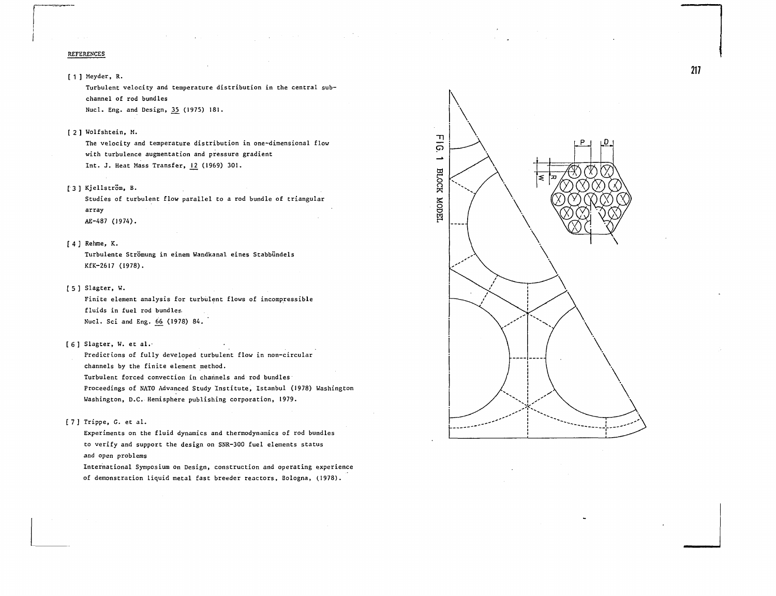#### REFERENCES

[ 1 ] Meyder, R.

Turbulent velocity and temperature distribution in the central subchannel of rod bundles

Nucl. Eng. and Design, 35^ (1975) 181.

[ 2 ] Wolfshtein, M.

The velocity and temperature distribution in one-dimensional flow with turbulence augmentation and pressure gradient Int. J. Heat Mass Transfer, 12 (1969) 301.

[3] Kjellström, B.

Studies of turbulent flow parallel to a rod bundle of triangular array AE-487 (1974).

[ 4 ] Rehme, K.

Turbulente Strömung in einem Wandkanal eines Stabbündels KfK-2617 (1978).

[ 5 ] Slagter, W.

Finite element analysis for turbulent flows of incompressible fluids in fuel rod bundles. Nucl. Sci and Eng. 66 (1978) 84.

[6] Slagter, W. et al.-

Predictions of fully developed turbulent flow in non-circular channels by the finite element method. Turbulent forced convection in channels and rod bundles Proceedings of NATO Advanced Study Institute, Istanbul (1978) Washington Washington, D.C. Hemisphere publishing corporation, 1979.

[ 7 ] Trippe, G. et al.

Experiments on the fluid dynamics and thermodynamics of rod bundles to verify and support the design on SNR-300 fuel elements status and open problems

International Symposium on Design, construction and operating experience of demonstration liquid metal fast breeder reactors, Bologna, (1978).